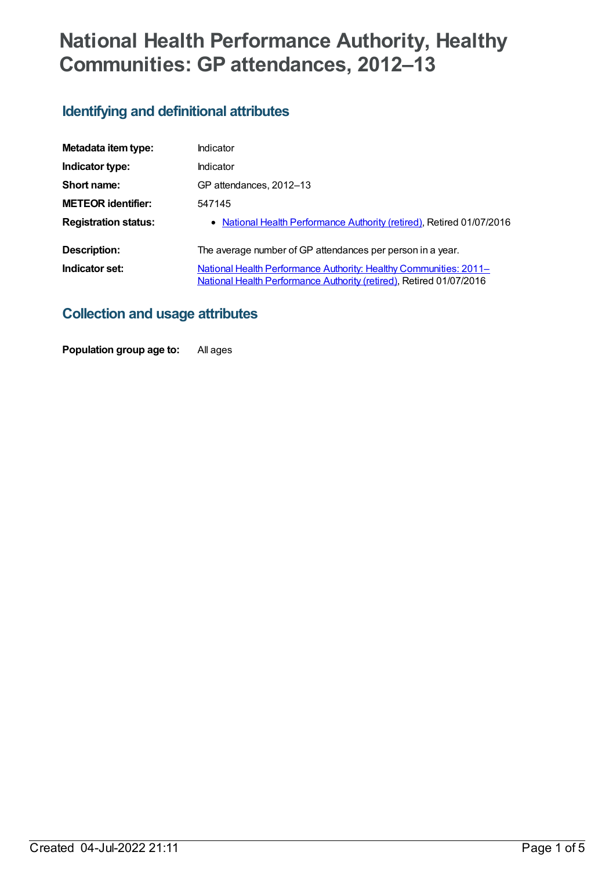# **National Health Performance Authority, Healthy Communities: GP attendances, 2012–13**

# **Identifying and definitional attributes**

| Metadata item type:         | Indicator                                                                                                                                       |
|-----------------------------|-------------------------------------------------------------------------------------------------------------------------------------------------|
| Indicator type:             | Indicator                                                                                                                                       |
| Short name:                 | GP attendances, 2012-13                                                                                                                         |
| <b>METEOR identifier:</b>   | 547145                                                                                                                                          |
| <b>Registration status:</b> | • National Health Performance Authority (retired), Retired 01/07/2016                                                                           |
| Description:                | The average number of GP attendances per person in a year.                                                                                      |
| Indicator set:              | <b>National Health Performance Authority: Healthy Communities: 2011–</b><br>National Health Performance Authority (retired), Retired 01/07/2016 |

# **Collection and usage attributes**

**Population group age to:** All ages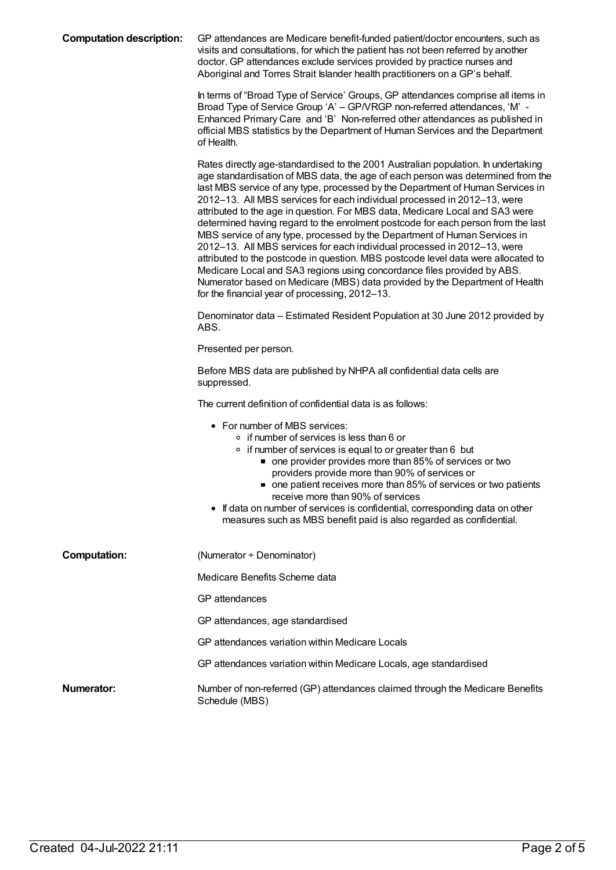| <b>Computation description:</b> | GP attendances are Medicare benefit-funded patient/doctor encounters, such as<br>visits and consultations, for which the patient has not been referred by another<br>doctor. GP attendances exclude services provided by practice nurses and<br>Aboriginal and Torres Strait Islander health practitioners on a GP's behalf.                                                                                                                                                                                                                                                                                                                                                                                                                                                                                                                                                                                                                                     |
|---------------------------------|------------------------------------------------------------------------------------------------------------------------------------------------------------------------------------------------------------------------------------------------------------------------------------------------------------------------------------------------------------------------------------------------------------------------------------------------------------------------------------------------------------------------------------------------------------------------------------------------------------------------------------------------------------------------------------------------------------------------------------------------------------------------------------------------------------------------------------------------------------------------------------------------------------------------------------------------------------------|
|                                 | In terms of "Broad Type of Service' Groups, GP attendances comprise all items in<br>Broad Type of Service Group 'A' - GP/VRGP non-referred attendances, 'M' -<br>Enhanced Primary Care and 'B' Non-referred other attendances as published in<br>official MBS statistics by the Department of Human Services and the Department<br>of Health.                                                                                                                                                                                                                                                                                                                                                                                                                                                                                                                                                                                                                    |
|                                 | Rates directly age-standardised to the 2001 Australian population. In undertaking<br>age standardisation of MBS data, the age of each person was determined from the<br>last MBS service of any type, processed by the Department of Human Services in<br>2012-13. All MBS services for each individual processed in 2012-13, were<br>attributed to the age in question. For MBS data, Medicare Local and SA3 were<br>determined having regard to the enrolment postcode for each person from the last<br>MBS service of any type, processed by the Department of Human Services in<br>2012-13. All MBS services for each individual processed in 2012-13, were<br>attributed to the postcode in question. MBS postcode level data were allocated to<br>Medicare Local and SA3 regions using concordance files provided by ABS.<br>Numerator based on Medicare (MBS) data provided by the Department of Health<br>for the financial year of processing, 2012-13. |
|                                 | Denominator data – Estimated Resident Population at 30 June 2012 provided by<br>ABS.                                                                                                                                                                                                                                                                                                                                                                                                                                                                                                                                                                                                                                                                                                                                                                                                                                                                             |
|                                 | Presented per person.                                                                                                                                                                                                                                                                                                                                                                                                                                                                                                                                                                                                                                                                                                                                                                                                                                                                                                                                            |
|                                 | Before MBS data are published by NHPA all confidential data cells are<br>suppressed.                                                                                                                                                                                                                                                                                                                                                                                                                                                                                                                                                                                                                                                                                                                                                                                                                                                                             |
|                                 | The current definition of confidential data is as follows:                                                                                                                                                                                                                                                                                                                                                                                                                                                                                                                                                                                                                                                                                                                                                                                                                                                                                                       |
|                                 | • For number of MBS services:<br>∘ if number of services is less than 6 or<br>• if number of services is equal to or greater than 6 but<br>■ one provider provides more than 85% of services or two<br>providers provide more than 90% of services or<br>one patient receives more than 85% of services or two patients<br>receive more than 90% of services<br>If data on number of services is confidential, corresponding data on other<br>measures such as MBS benefit paid is also regarded as confidential.                                                                                                                                                                                                                                                                                                                                                                                                                                                |
| <b>Computation:</b>             | (Numerator + Denominator)                                                                                                                                                                                                                                                                                                                                                                                                                                                                                                                                                                                                                                                                                                                                                                                                                                                                                                                                        |
|                                 | Medicare Benefits Scheme data                                                                                                                                                                                                                                                                                                                                                                                                                                                                                                                                                                                                                                                                                                                                                                                                                                                                                                                                    |
|                                 | GP attendances                                                                                                                                                                                                                                                                                                                                                                                                                                                                                                                                                                                                                                                                                                                                                                                                                                                                                                                                                   |
|                                 | GP attendances, age standardised                                                                                                                                                                                                                                                                                                                                                                                                                                                                                                                                                                                                                                                                                                                                                                                                                                                                                                                                 |
|                                 | GP attendances variation within Medicare Locals                                                                                                                                                                                                                                                                                                                                                                                                                                                                                                                                                                                                                                                                                                                                                                                                                                                                                                                  |
|                                 | GP attendances variation within Medicare Locals, age standardised                                                                                                                                                                                                                                                                                                                                                                                                                                                                                                                                                                                                                                                                                                                                                                                                                                                                                                |
| Numerator:                      | Number of non-referred (GP) attendances claimed through the Medicare Benefits<br>Schedule (MBS)                                                                                                                                                                                                                                                                                                                                                                                                                                                                                                                                                                                                                                                                                                                                                                                                                                                                  |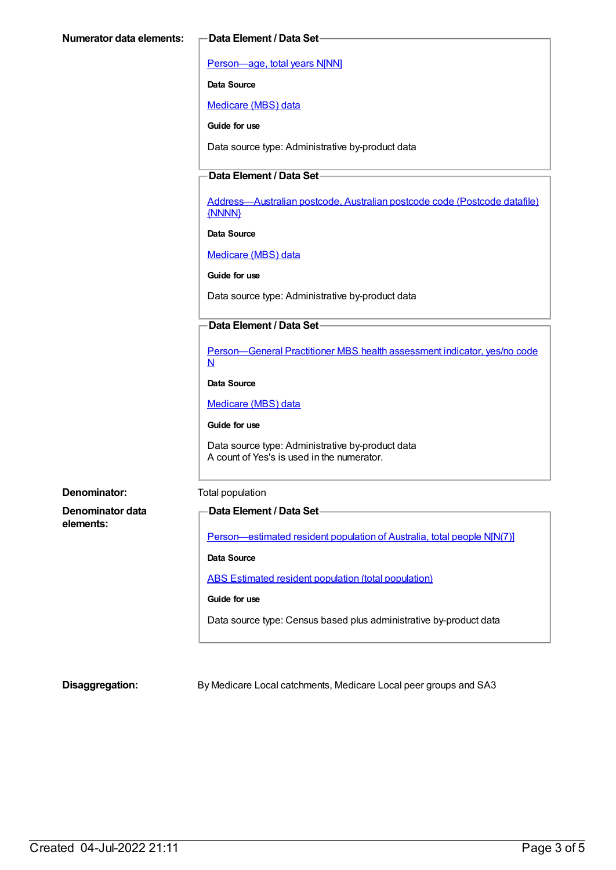[Person—age,](https://meteor.aihw.gov.au/content/303794) total years N[NN]

**Data Source**

[Medicare](https://meteor.aihw.gov.au/content/394305) (MBS) data

**Guide for use**

Data source type: Administrative by-product data

### **Data Element / Data Set**

[Address—Australian](https://meteor.aihw.gov.au/content/429894) postcode, Australian postcode code (Postcode datafile) {NNNN}

**Data Source**

[Medicare](https://meteor.aihw.gov.au/content/394305) (MBS) data

**Guide for use**

Data source type: Administrative by-product data

#### **Data Element / Data Set**

[Person—General](https://meteor.aihw.gov.au/content/554986) Practitioner MBS health assessment indicator, yes/no code N

**Data Source**

[Medicare](https://meteor.aihw.gov.au/content/394305) (MBS) data

**Guide for use**

Data source type: Administrative by-product data A count of Yes's is used in the numerator.

**Denominator:** Total population

**Denominator data elements:**

# **Data Element / Data Set**

[Person—estimated](https://meteor.aihw.gov.au/content/388656) resident population of Australia, total people N[N(7)]

**Data Source**

ABS Estimated resident population (total [population\)](https://meteor.aihw.gov.au/content/393625)

#### **Guide for use**

Data source type: Census based plus administrative by-product data

**Disaggregation:** By Medicare Local catchments, Medicare Local peer groups and SA3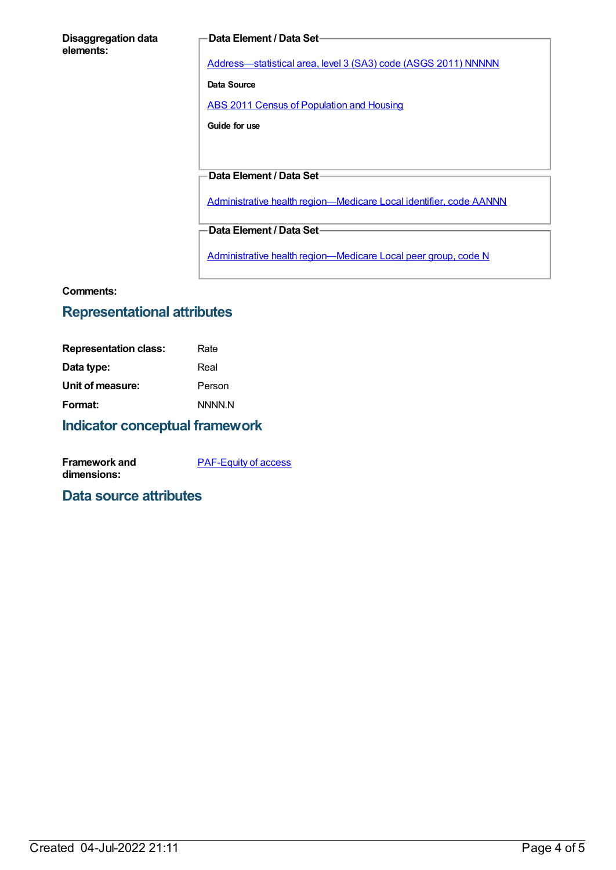#### **Disaggregation data elements:**

#### **Data Element / Data Set**

[Address—statistical](https://meteor.aihw.gov.au/content/457293) area, level 3 (SA3) code (ASGS 2011) NNNNN

**Data Source**

ABS 2011 Census of [Population](https://meteor.aihw.gov.au/content/481876) and Housing

**Guide for use**

**Data Element / Data Set**

Administrative health [region—Medicare](https://meteor.aihw.gov.au/content/513288) Local identifier, code AANNN

**Data Element / Data Set**

Administrative health [region—Medicare](https://meteor.aihw.gov.au/content/550733) Local peer group, code N

#### **Comments:**

## **Representational attributes**

| Rate   |
|--------|
| Real   |
| Person |
| NNNN.N |
|        |

### **Indicator conceptual framework**

| <b>Framework and</b> | <b>PAF-Equity of access</b> |
|----------------------|-----------------------------|
| dimensions:          |                             |

### **Data source attributes**